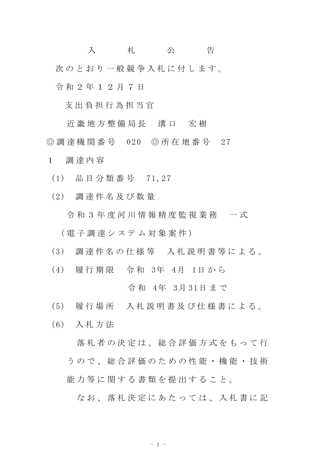入 札 公 告 次のとおり一般競争入札に付します。 令 和 2 年 1 2 月 7 日

支 出 負 担 行 為 担 当 官

近 畿 地 方 整 備 局 長 清 口 安 樹 ◎ 調 達 機 関 番 号 020 ◎ 所 在 地 番 号 27

1 調 達 内 容

- (1) 品 目 分 類 番 号 71,27
- (2) 調 達 件 名 及 び 数 量
	- 令 和 3 年 度 河 川 情 報 精 度 監 視 業 務 一 式

( 電 子 調 達 シ ス テ ム 対 象 案 件 )

- (3) 調 達 件 名 の 仕 様 等 入 札 説 明 書 等 に よ る 。
- (4) 履 行 期 限 令 和 3年 4月 1日 か ら

令 和 4年 3月 31日 ま で

- (5) 履 行 場 所 入 札 説 明 書 及 び 仕 様 書 に よ る 。
- (6) 入 札 方 法

落 札 者 の 決 定 は 、 総 合 評 価 方 式 を も っ て 行 う の で 、 総 合 評 価 の た め の 性 能 ・ 機 能 ・ 技 術 能力等に関する書類を提出すること。

なお、落札決定にあたっては、入札書に記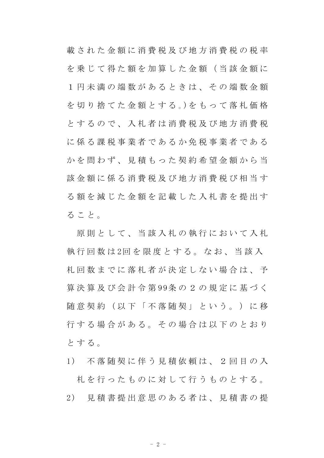載 さ れ た 金 額 に 消 費 税 及 び 地 方 消 費 税 の 税 率 を乗じて得た額を加算した金額(当該金額に 1 円 未 満 の 端 数 が あ る と き は 、 そ の 端 数 金 額 を 切 り 捨 て た 金 額 と す る 。)を も っ て 落 札 価 格 とするので、入札者は消費税及び地方消費税 に係る課税事業者であるか免税事業者である かを問わず、見積もった契約希望金額から当 該 金 額 に 係 る 消 費 税 及 び 地 方 消 費 税 び 相 当 す る額を減じた金額を記載した入札書を提出す る こ と 。

原則として、当該入札の執行において入札 執 行 回 数 は 2回 を 限 度 と す る 。 な お 、 当 該 入 札 回 数 ま で に 落 札 者 が 決 定 し な い 場 合 は 、 予 算 決 算 及 び 会 計 令 第 99条 の 2 の 規 定 に 基 づ く |随 意 契 約 ( 以 下 「 不 落 随 契 」 と い う 。 ) に 移 行する場合がある。その場合は以下のとおり と す る 。

- 1) 不 落 随 契 に 伴 う 見 積 依 頼 は 、 2 回 目 の 入 札 を 行 っ た も の に 対 し て 行 う も の と す る 。
- 2) 見 積 書 提 出 意 思 の あ る 者 は 、 見 積 書 の 提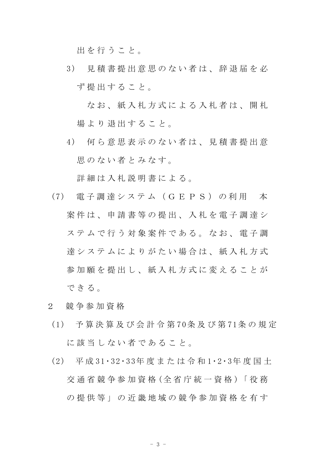出 を 行 う こ と 。

3) 見 積 書 提 出 意 思 の な い 者 は 、 辞 退 届 を 必 ず 提 出 す る こ と 。

なお、紙入札方式による入札者は、開札 場より退出すること。

4) 何 ら 意 思 表 示 の な い 者 は 、 見 積 書 提 出 意 思のない者とみなす。

詳細は入札説明書による。

- (7) 電 子 調 達 シ ス テ ム ( G E P S ) の 利 用 本 案 件 は 、 申 請 書 等 の 提 出 、 入 札 を 電 子 調 達 シ ステムで行う対象案件である。なお、電子調 達システムによりがたい場合は、紙入札方式 参加願を提出し、紙入札方式に変えることが できる。
- 2 競 争 参 加 資 格
- (1) 予 算 決 算 及 び 会 計 令 第 70条 及 び 第 71条 の 規 定 に該当しない者であること。
- (2) 平 成 31・32・33年 度 ま た は 令 和 1・2・3年 度 国 土 交 通 省 競 争 参 加 資 格 (全 省 庁 統 一 資 格 )「 役 務 の 提 供 等 」 の 近 畿 地 域 の 競 争 参 加 資 格 を 有 す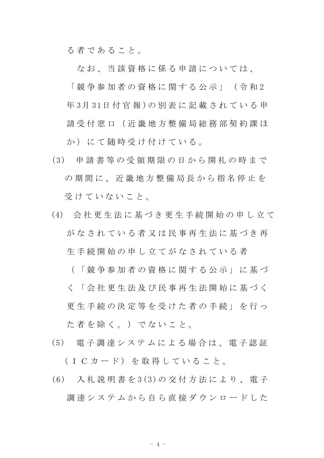る 者 で あ る こ と 。

なお、 当 該 資 格 に 係 る 申 請 に つ い て は、

「 競 争 参 加 者 の 資 格 に 関 す る 公 示 」 ( 令 和 2 年3月31日付官報)の別表に記載されている申 請 受 付 窓 口 (近 畿 地 方 整 備 局 総 務 部 契 約 課 ほ か)にて随時受け付けている。

- (3) 申 請 書 等 の 受 領 期 限 の 日 か ら 開 札 の 時 ま で の期間に、近畿地方整備局長から指名停止を 受けていないこと。
- (4) 会 社 更 生 法 に 基 づ き 更 生 手 続 開 始 の 申 し 立 て がなされている者又は民事再生法に基づき再 生 手 続 開 始 の 申 し 立 て が な さ れ て い る 者

( 「 競 争 参 加 者 の 資 格 に 関 す る 公 示 」 に 基 づ く 「 会 社 更 生 法 及 び 民 事 再 生 法 開 始 に 基 づ く 更 生 手 続 の 決 定 等 を 受 け た 者 の 手 続 」 を 行 っ た 者 を 除 く 。 ) で な い こ と 。

- (5) 電 子 調 達 シ ス テ ム に よ る 場 合 は 、 電 子 認 証 (ICカード) を取得していること。
- (6) 入 札 説 明 書 を 3(3)の 交 付 方 法 に よ り 、 電 子 調 達 シ ス テ ム か ら 自 ら 直 接 ダ ウ ン ロ ー ド し た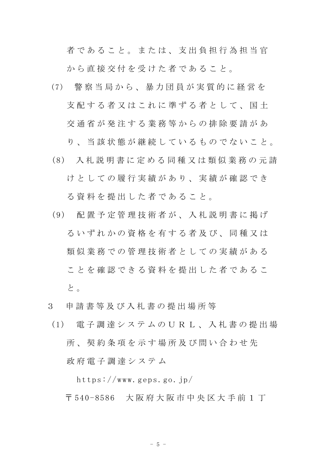者であること。または、支出負担行為担当官 から直接交付を受けた者であること。

(7) 警 察 当 局 か ら 、 暴 力 団 員 が 実 質 的 に 経 営 を 支 配 す る 者 又 は こ れ に 準 ず る 者 と し て 、 国 十 交 通 省 が 発 注 す る 業 務 等 か ら の 排 除 要 請 が あ

り、 当 該 状 熊 が 継 続 し て い る も の で な い こ と 。

- (8) 入 札 説 明 書 に 定 め る 同 種 又 は 類 似 業 務 の 元 請 けとしての履行実績があり、実績が確認でき る 資料 を 提 出 し た 者 で あ る こ と 。
- (9) 配 置 予 定 管 理 技 術 者 が 、 入 札 説 明 書 に 掲 げ るいずれかの資格を有する者及び、同種又は 類似 業 務 で の 管 理 技 術 者 と し て の 実 績 が あ る こ と を 確 認 で き る 資 料 を 提 出 し た 者 で あ る こ と 。
- 3 申 請 書 等 及 び 入 札 書 の 提 出 場 所 等
- (1) 電 子 調 達 シ ス テ ム の U R L 、 入 札 書 の 提 出 場 所、契約条項を示す場所及び問い合わせ先 政 府 電 子 調 達 シ ス テ ム

https://www.geps.go.jp/

〒 540-8586 大 阪 府 大 阪 市 中 央 区 大 手 前 1 丁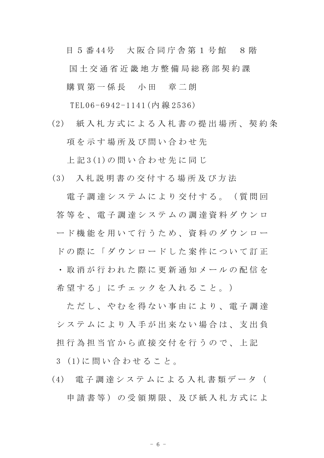目 5 番 44号 大阪合同庁舎第 1 号館 8 階 国 土 交 通 省 近 畿 地 方 整 備 局 総 務 部 契 約 課 購買 第 一 係 長 一 小 田 章 二 朗

TEL06-6942-1141(内 線 2536)

(2) 紙 入 札 方 式 に よ る 入 札 書 の 提 出 場 所 、 契 約 条 項を示す場所及び問い合わせ先

上 記 3(1)の 問 い 合 わ せ 先 に 同 じ

(3) 入 札 説 明 書 の 交 付 す る 場 所 及 び 方 法

電子調達システムにより交付する。(質問回 **答 等 を 、 雷 子 調 達 シ ス テ ム の 調 達 資 料 ダ ウ ン ロ** ード機能を用いて行うため、資料のダウンロー ド の 際 に 「 ダ ウ ン ロ ー ド し た 案 件 に つ い て 訂 正 ・ 取 消 が 行 わ れ た 際 に 更 新 通 知 メ ー ル の 配 信 を 希 望 す る 」 に チ ェ ッ ク を 入 れ る こ と 。 )

た だ し 、 や れ を 得 な い 事 由 に よ り 、 雷 子 調 達 システムにより入手が出来ない場合は、支出負 担 行 為 担 当 官 か ら 直 接 交 付 を 行 う の で 、 上 記 3 (1)に 問 い 合 わ せ る こ と 。

(4) 電 子 調 達 シ ス テ ム に よ る 入 札 書 類 デ ー タ ( 申 請 書 等)の受 領 期 限、 及 び 紙 入 札 方 式 に よ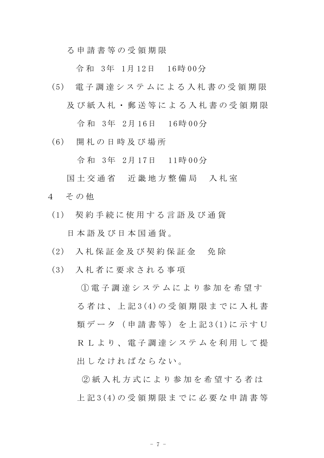る 申 請 書 等 の 受 領 期 限

令 和 3年 1月 12日 16時 00分

(5) 電 子 調 達 シ ス テ ム に よ る 入 札 書 の 受 領 期 限 及 び 紙 入 札 ・ 郵 送 等 に よ る 入 札 書 の 受 領 期 限

令 和 3年 2月 16日 16時 00分

(6) 開 札 の 日 時 及 び 場 所

令 和 3年 2月 17日 11時 00分

- 国土交通省 近畿地方整備局 入札室 4 その他
	- (1) 契 約 手 続 に 使 用 す る 言 語 及 び 通 貨 日 本 語 及 び 日 本 国 通 貨 。
	- (2) 入 札 保 証 金 及 び 契 約 保 証 金 免 除
	- (3) 入 札 者 に 要 求 さ れ る 事 項

① 電 子 調 達 シ ス テ ム に よ り 参 加 を 希 望 す る 者 は 、 上 記 3(4)の 受 領 期 限 ま で に 入 札 書 類 デ ー タ ( 申 請 書 等 ) を 上 記 3(1)に 示 す U R L よ り 、 雷 子 調 達 シ ス テ ム を 利 用 し て 提 出 し な け れ ば な ら な い 。

② 紙 入 札 方 式 に よ り 参 加 を 希 望 す る 者 は 上 記 3(4)の 受 領 期 限 ま で に 必 要 な 申 請 書 等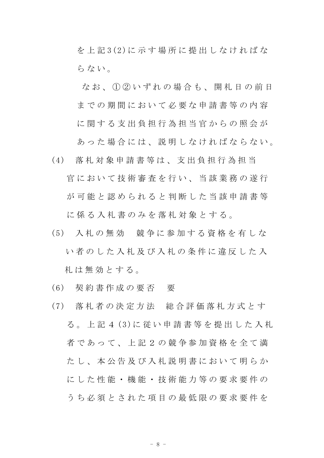を 上 記 3(2)に 示 す 場 所 に 提 出 し な け れ ば な らない。

なお、1020いずれの場合も、開札日の前日 までの期間において必要な申請書等の内容 に関する支出負担行為担当官からの照会が

あ っ た 場 合 に は 、 説 明 し な け れ ば な ら な い 。

- (4) 落 札 対 象 申 請 書 等 は 、 支 出 負 担 行 為 担 当 官において技術審査を行い、当該業務の遂行 が可能と認められると判断した当該申請書等 に係る入札書のみを落札対象とする。
- (5) 入 札 の 無 効 競 争 に 参 加 す る 資 格 を 有 し な い者 の し た 入 札 及 び 入 札 の 条 件 に 違 反 し た 入 札 は 無 効 と す る 。
- (6) 契 約 書 作 成 の 要 否 要
- (7) 落 札 者 の 決 定 方 法 総 合 評 価 落 札 方 式 と す る 。 上 記 4 (3)に 従 い 申 請 書 等 を 提 出 し た 入 札 者であって、上記2の競争参加資格を全て満 た し 、 本 公 告 及 び 入 札 説 明 書 に お い て 明 ら か にした性能·機能·技術能力等の要求要件の う ち 必 須 と さ れ た 項 目 の 最 低 限 の 要 求 要 件 を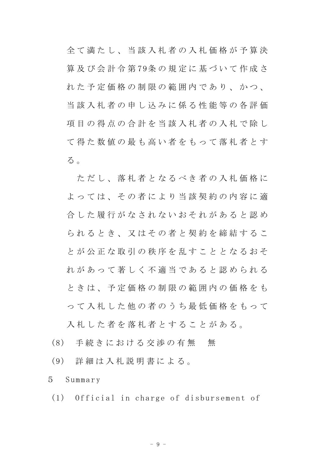全 て 満 た し 、 当 該 入 札 者 の 入 札 価 格 が 予 算 決 算 及 び 会 計 令 第 79条 の 規 定 に 基 づ い て 作 成 さ れた 予 定 価 格 の 制 限 の 範 囲 内 で あ り 、 か つ 、 当該入札者の申し込みに係る性能等の各評価 項目の得点の合計を当該入札者の入札で除し て 得 た 数 値 の 最 も 高 い 者 を も っ て 落 札 者 と す る 。

ただし、落札者となるべき者の入札価格に よっては、その者により当該契約の内容に適 合 した 履 行 が な さ れ な い お そ れ が あ る と 認 め られるとき、又はその者と契約を締結するこ と が 公 正 な 取 引 の 秩 序 を 乱 す こ と と な る お そ れがあって著しく不適当であると認められる と き は 、 予 定 価 格 の 制 限 の 範 囲 内 の 価 格 を も っ て 入 札 し た 他 の 者 の う ち 最 低 価 格 を も っ て

入札した者を落札者とすることがある。

- (8) 手続きにおける交渉の有無 無
- (9) 詳 細 は 入 札 説 明 書 に よ る 。
- 5 Summary
	- (1) Official in charge of disbursement of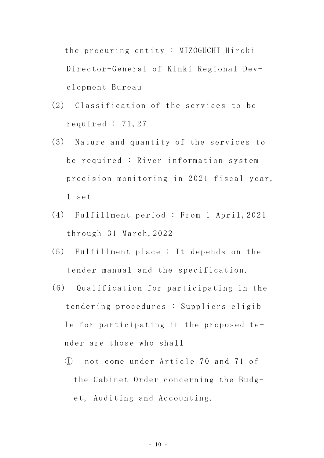the procuring entity : MIZOGUCHI Hiroki Director-General of Kinki Regional Development Bureau

- (2) Classification of the services to be required : 71,27
- (3) Nature and quantity of the services to be required : River information system precision monitoring in 2021 fiscal year, 1 set
- (4) Fulfillment period : From 1 April,2021 through 31 March,2022
- (5) Fulfillment place : It depends on the tender manual and the specification.
- (6) Qualification for participating in the tendering procedures : Suppliers eligible for participating in the proposed tender are those who shall
	- ① not come under Article 70 and 71 of the Cabinet Order concerning the Budget, Auditing and Accounting.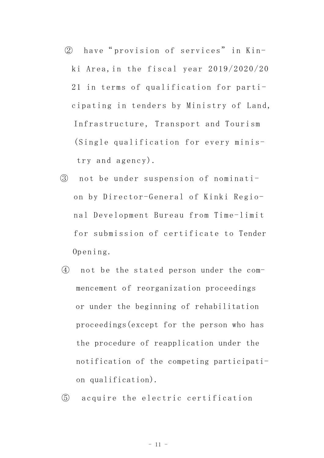- ② have" provision of services" in Kinki Area,in the fiscal year 2019/2020/20 21 in terms of qualification for participating in tenders by Ministry of Land, Infrastructure, Transport and Tourism (Single qualification for every ministry and agency).
- ③ not be under suspension of nomination by Director-General of Kinki Regional Development Bureau from Time-limit for submission of certificate to Tender Opening.
- ④ not be the stated person under the commencement of reorganization proceedings or under the beginning of rehabilitation proceedings(except for the person who has the procedure of reapplication under the notification of the competing participation qualification).

⑤ acquire the electric certification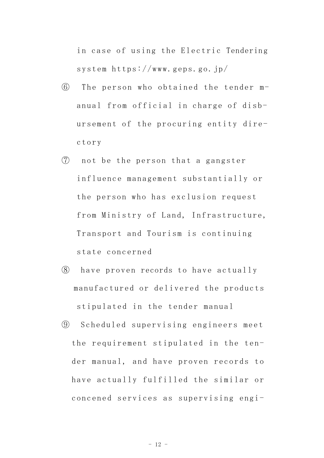in case of using the Electric Tendering system https://www.geps.go.jp/

- ⑥ The person who obtained the tender manual from official in charge of disbursement of the procuring entity directory
- ⑦ not be the person that a gangster influence management substantially or the person who has exclusion request from Ministry of Land, Infrastructure, Transport and Tourism is continuing state concerned
- ⑧ have proven records to have actually manufactured or delivered the products stipulated in the tender manual
- ⑨ Scheduled supervising engineers meet the requirement stipulated in the tender manual, and have proven records to have actually fulfilled the similar or concened services as supervising engi-